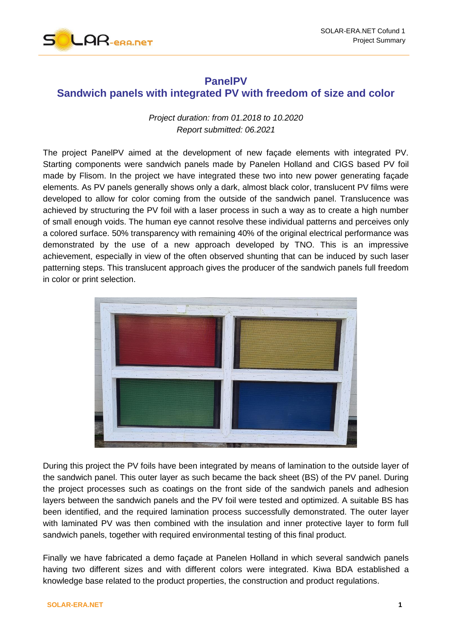

# **PanelPV Sandwich panels with integrated PV with freedom of size and color**

## *Project duration: from 01.2018 to 10.2020 Report submitted: 06.2021*

The project PanelPV aimed at the development of new façade elements with integrated PV. Starting components were sandwich panels made by Panelen Holland and CIGS based PV foil made by Flisom. In the project we have integrated these two into new power generating façade elements. As PV panels generally shows only a dark, almost black color, translucent PV films were developed to allow for color coming from the outside of the sandwich panel. Translucence was achieved by structuring the PV foil with a laser process in such a way as to create a high number of small enough voids. The human eye cannot resolve these individual patterns and perceives only a colored surface. 50% transparency with remaining 40% of the original electrical performance was demonstrated by the use of a new approach developed by TNO. This is an impressive achievement, especially in view of the often observed shunting that can be induced by such laser patterning steps. This translucent approach gives the producer of the sandwich panels full freedom in color or print selection.



During this project the PV foils have been integrated by means of lamination to the outside layer of the sandwich panel. This outer layer as such became the back sheet (BS) of the PV panel. During the project processes such as coatings on the front side of the sandwich panels and adhesion layers between the sandwich panels and the PV foil were tested and optimized. A suitable BS has been identified, and the required lamination process successfully demonstrated. The outer layer with laminated PV was then combined with the insulation and inner protective layer to form full sandwich panels, together with required environmental testing of this final product.

Finally we have fabricated a demo façade at Panelen Holland in which several sandwich panels having two different sizes and with different colors were integrated. Kiwa BDA established a knowledge base related to the product properties, the construction and product regulations.